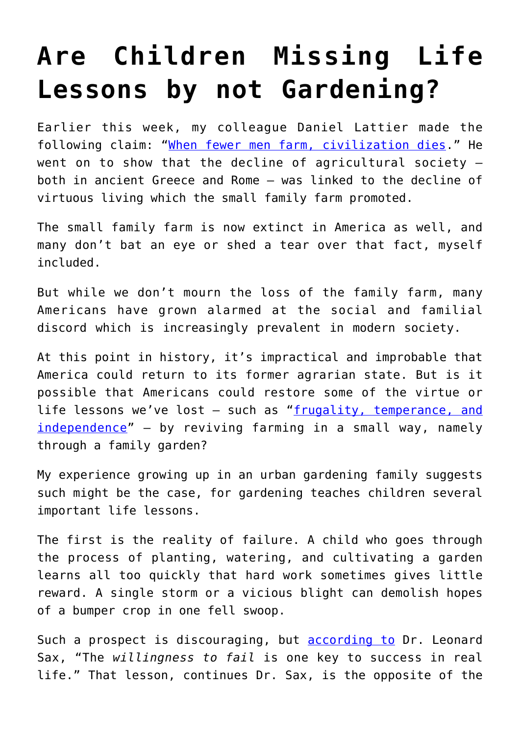## **[Are Children Missing Life](https://intellectualtakeout.org/2016/08/are-children-missing-life-lessons-by-not-gardening/) [Lessons by not Gardening?](https://intellectualtakeout.org/2016/08/are-children-missing-life-lessons-by-not-gardening/)**

Earlier this week, my colleague Daniel Lattier made the following claim: "[When fewer men farm, civilization dies.](https://www.intellectualtakeout.org/blog/when-fewer-men-farm-civilization-dies)" He went on to show that the decline of agricultural society  $$ both in ancient Greece and Rome – was linked to the decline of virtuous living which the small family farm promoted.

The small family farm is now extinct in America as well, and many don't bat an eye or shed a tear over that fact, myself included.

But while we don't mourn the loss of the family farm, many Americans have grown alarmed at the social and familial discord which is increasingly prevalent in modern society.

At this point in history, it's impractical and improbable that America could return to its former agrarian state. But is it possible that Americans could restore some of the virtue or life lessons we've lost – such as ["frugality, temperance, and](https://www.amazon.com/gp/product/0674314263/ref=as_li_qf_sp_asin_il_tl?ie=UTF8&tag=intelltakeo0d-20&camp=1789&creative=9325&linkCode=as2&creativeASIN=0674314263&linkId=ac5133ee54f216cfd035c12c937ab16b) [independence"](https://www.amazon.com/gp/product/0674314263/ref=as_li_qf_sp_asin_il_tl?ie=UTF8&tag=intelltakeo0d-20&camp=1789&creative=9325&linkCode=as2&creativeASIN=0674314263&linkId=ac5133ee54f216cfd035c12c937ab16b) – by reviving farming in a small way, namely through a family garden?

My experience growing up in an urban gardening family suggests such might be the case, for gardening teaches children several important life lessons.

The first is the reality of failure. A child who goes through the process of planting, watering, and cultivating a garden learns all too quickly that hard work sometimes gives little reward. A single storm or a vicious blight can demolish hopes of a bumper crop in one fell swoop.

Such a prospect is discouraging, but [according to](https://www.amazon.com/gp/product/0465048978/ref=as_li_qf_sp_asin_il_tl?ie=UTF8&tag=intelltakeo0d-20&camp=1789&creative=9325&linkCode=as2&creativeASIN=0465048978&linkId=f236f0240ef6d591f272633ccfe139a9) Dr. Leonard Sax, "The *willingness to fail* is one key to success in real life." That lesson, continues Dr. Sax, is the opposite of the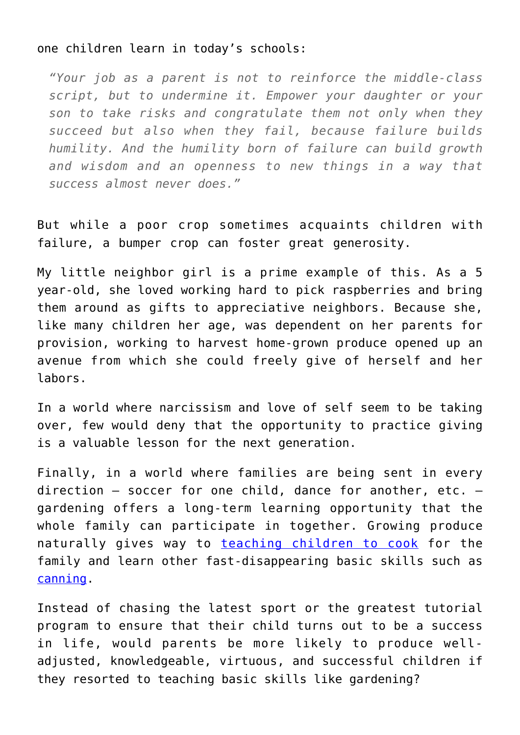## one children learn in today's schools:

*"Your job as a parent is not to reinforce the middle-class script, but to undermine it. Empower your daughter or your son to take risks and congratulate them not only when they succeed but also when they fail, because failure builds humility. And the humility born of failure can build growth and wisdom and an openness to new things in a way that success almost never does."*

But while a poor crop sometimes acquaints children with failure, a bumper crop can foster great generosity.

My little neighbor girl is a prime example of this. As a 5 year-old, she loved working hard to pick raspberries and bring them around as gifts to appreciative neighbors. Because she, like many children her age, was dependent on her parents for provision, working to harvest home-grown produce opened up an avenue from which she could freely give of herself and her labors.

In a world where narcissism and love of self seem to be taking over, few would deny that the opportunity to practice giving is a valuable lesson for the next generation.

Finally, in a world where families are being sent in every direction – soccer for one child, dance for another, etc. – gardening offers a long-term learning opportunity that the whole family can participate in together. Growing produce naturally gives way to [teaching children to cook](https://www.intellectualtakeout.org/blog/it-still-important-teach-children-cook) for the family and learn other fast-disappearing basic skills such as [canning](https://www.intellectualtakeout.org/blog/canning-getting-popular-again).

Instead of chasing the latest sport or the greatest tutorial program to ensure that their child turns out to be a success in life, would parents be more likely to produce welladjusted, knowledgeable, virtuous, and successful children if they resorted to teaching basic skills like gardening?